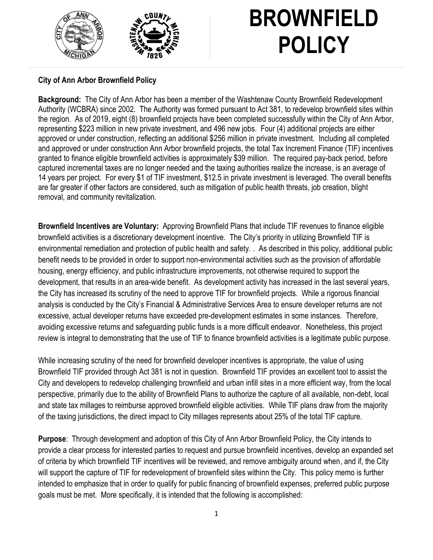

#### **City of Ann Arbor Brownfield Policy**

**Background:** The City of Ann Arbor has been a member of the Washtenaw County Brownfield Redevelopment Authority (WCBRA) since 2002. The Authority was formed pursuant to Act 381, to redevelop brownfield sites within the region. As of 2019, eight (8) brownfield projects have been completed successfully within the City of Ann Arbor, representing \$223 million in new private investment, and 496 new jobs. Four (4) additional projects are either approved or under construction, reflecting an additional \$256 million in private investment. Including all completed and approved or under construction Ann Arbor brownfield projects, the total Tax Increment Finance (TIF) incentives granted to finance eligible brownfield activities is approximately \$39 million. The required pay-back period, before captured incremental taxes are no longer needed and the taxing authorities realize the increase, is an average of 14 years per project. For every \$1 of TIF investment, \$12.5 in private investment is leveraged. The overall benefits are far greater if other factors are considered, such as mitigation of public health threats, job creation, blight removal, and community revitalization.

**Brownfield Incentives are Voluntary:** Approving Brownfield Plans that include TIF revenues to finance eligible brownfield activities is a discretionary development incentive. The City's priority in utilizing Brownfield TIF is environmental remediation and protection of public health and safety. . As described in this policy, additional public benefit needs to be provided in order to support non-environmental activities such as the provision of affordable housing, energy efficiency, and public infrastructure improvements, not otherwise required to support the development, that results in an area-wide benefit. As development activity has increased in the last several years, the City has increased its scrutiny of the need to approve TIF for brownfield projects. While a rigorous financial analysis is conducted by the City's Financial & Administrative Services Area to ensure developer returns are not excessive, actual developer returns have exceeded pre-development estimates in some instances. Therefore, avoiding excessive returns and safeguarding public funds is a more difficult endeavor. Nonetheless, this project review is integral to demonstrating that the use of TIF to finance brownfield activities is a legitimate public purpose.

While increasing scrutiny of the need for brownfield developer incentives is appropriate, the value of using Brownfield TIF provided through Act 381 is not in question. Brownfield TIF provides an excellent tool to assist the City and developers to redevelop challenging brownfield and urban infill sites in a more efficient way, from the local perspective, primarily due to the ability of Brownfield Plans to authorize the capture of all available, non-debt, local and state tax millages to reimburse approved brownfield eligible activities. While TIF plans draw from the majority of the taxing jurisdictions, the direct impact to City millages represents about 25% of the total TIF capture.

**Purpose**: Through development and adoption of this City of Ann Arbor Brownfield Policy, the City intends to provide a clear process for interested parties to request and pursue brownfield incentives, develop an expanded set of criteria by which brownfield TIF incentives will be reviewed, and remove ambiguity around when, and if, the City will support the capture of TIF for redevelopment of brownfield sites withinn the City. This policy memo is further intended to emphasize that in order to qualify for public financing of brownfield expenses, preferred public purpose goals must be met. More specifically, it is intended that the following is accomplished: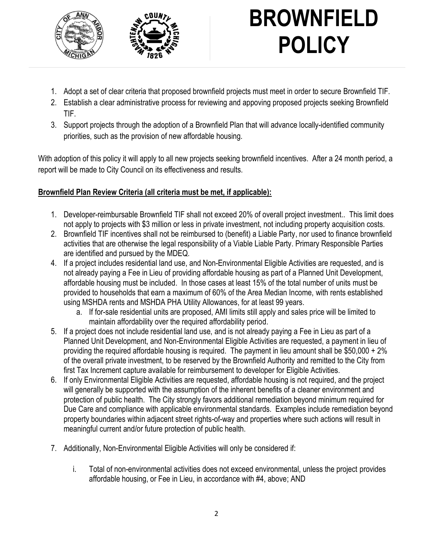

- 1. Adopt a set of clear criteria that proposed brownfield projects must meet in order to secure Brownfield TIF.
- 2. Establish a clear administrative process for reviewing and appoving proposed projects seeking Brownfield TIF.
- 3. Support projects through the adoption of a Brownfield Plan that will advance locally-identified community priorities, such as the provision of new affordable housing.

With adoption of this policy it will apply to all new projects seeking brownfield incentives. After a 24 month period, a report will be made to City Council on its effectiveness and results.

### **Brownfield Plan Review Criteria (all criteria must be met, if applicable):**

- 1. Developer-reimbursable Brownfield TIF shall not exceed 20% of overall project investment.. This limit does not apply to projects with \$3 million or less in private investment, not including property acquisition costs.
- 2. Brownfield TIF incentives shall not be reimbursed to (benefit) a Liable Party, nor used to finance brownfield activities that are otherwise the legal responsibility of a Viable Liable Party. Primary Responsible Parties are identified and pursued by the MDEQ.
- 4. If a project includes residential land use, and Non-Environmental Eligible Activities are requested, and is not already paying a Fee in Lieu of providing affordable housing as part of a Planned Unit Development, affordable housing must be included. In those cases at least 15% of the total number of units must be provided to households that earn a maximum of 60% of the Area Median Income, with rents established using MSHDA rents and MSHDA PHA Utility Allowances, for at least 99 years.
	- a. If for-sale residential units are proposed, AMI limits still apply and sales price will be limited to maintain affordability over the required affordability period.
- 5. If a project does not include residential land use, and is not already paying a Fee in Lieu as part of a Planned Unit Development, and Non-Environmental Eligible Activities are requested, a payment in lieu of providing the required affordable housing is required. The payment in lieu amount shall be \$50,000 + 2% of the overall private investment, to be reserved by the Brownfield Authority and remitted to the City from first Tax Increment capture available for reimbursement to developer for Eligible Activities.
- 6. If only Environmental Eligible Activities are requested, affordable housing is not required, and the project will generally be supported with the assumption of the inherent benefits of a cleaner environment and protection of public health. The City strongly favors additional remediation beyond minimum required for Due Care and compliance with applicable environmental standards. Examples include remediation beyond property boundaries within adjacent street rights-of-way and properties where such actions will result in meaningful current and/or future protection of public health.
- 7. Additionally, Non-Environmental Eligible Activities will only be considered if:
	- i. Total of non-environmental activities does not exceed environmental, unless the project provides affordable housing, or Fee in Lieu, in accordance with #4, above; AND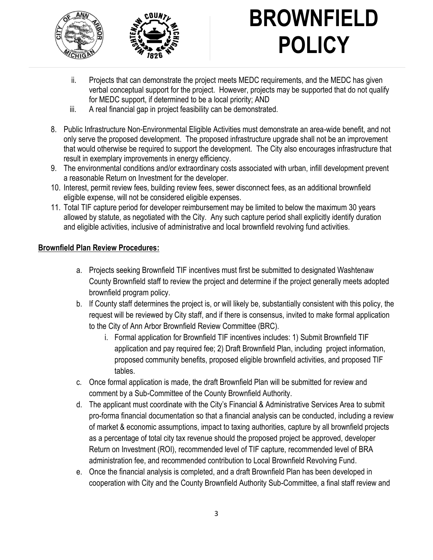



- ii. Projects that can demonstrate the project meets MEDC requirements, and the MEDC has given verbal conceptual support for the project. However, projects may be supported that do not qualify for MEDC support, if determined to be a local priority; AND
- iii. A real financial gap in project feasibility can be demonstrated.
- 8. Public Infrastructure Non-Environmental Eligible Activities must demonstrate an area-wide benefit, and not only serve the proposed development. The proposed infrastructure upgrade shall not be an improvement that would otherwise be required to support the development. The City also encourages infrastructure that result in exemplary improvements in energy efficiency.
- 9. The environmental conditions and/or extraordinary costs associated with urban, infill development prevent a reasonable Return on Investment for the developer.
- 10. Interest, permit review fees, building review fees, sewer disconnect fees, as an additional brownfield eligible expense, will not be considered eligible expenses.
- 11. Total TIF capture period for developer reimbursement may be limited to below the maximum 30 years allowed by statute, as negotiated with the City. Any such capture period shall explicitly identify duration and eligible activities, inclusive of administrative and local brownfield revolving fund activities.

### **Brownfield Plan Review Procedures:**

- a. Projects seeking Brownfield TIF incentives must first be submitted to designated Washtenaw County Brownfield staff to review the project and determine if the project generally meets adopted brownfield program policy.
- b. If County staff determines the project is, or will likely be, substantially consistent with this policy, the request will be reviewed by City staff, and if there is consensus, invited to make formal application to the City of Ann Arbor Brownfield Review Committee (BRC).
	- i. Formal application for Brownfield TIF incentives includes: 1) Submit Brownfield TIF application and pay required fee; 2) Draft Brownfield Plan, including project information, proposed community benefits, proposed eligible brownfield activities, and proposed TIF tables.
- c. Once formal application is made, the draft Brownfield Plan will be submitted for review and comment by a Sub-Committee of the County Brownfield Authority.
- d. The applicant must coordinate with the City's Financial & Administrative Services Area to submit pro-forma financial documentation so that a financial analysis can be conducted, including a review of market & economic assumptions, impact to taxing authorities, capture by all brownfield projects as a percentage of total city tax revenue should the proposed project be approved, developer Return on Investment (ROI), recommended level of TIF capture, recommended level of BRA administration fee, and recommended contribution to Local Brownfield Revolving Fund.
- e. Once the financial analysis is completed, and a draft Brownfield Plan has been developed in cooperation with City and the County Brownfield Authority Sub-Committee, a final staff review and